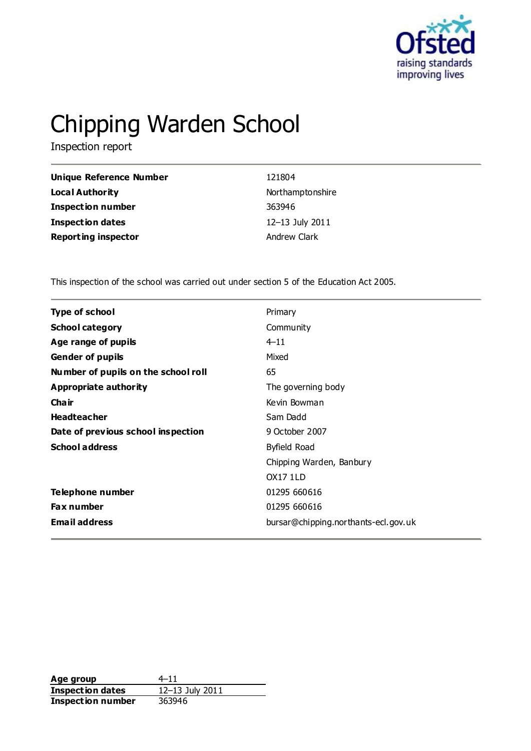

# Chipping Warden School

Inspection report

| <b>Unique Reference Number</b> | 121804           |
|--------------------------------|------------------|
| <b>Local Authority</b>         | Northamptonshire |
| <b>Inspection number</b>       | 363946           |
| <b>Inspection dates</b>        | 12-13 July 2011  |
| <b>Reporting inspector</b>     | Andrew Clark     |

This inspection of the school was carried out under section 5 of the Education Act 2005.

| <b>Type of school</b>               | Primary                              |
|-------------------------------------|--------------------------------------|
| <b>School category</b>              | Community                            |
| Age range of pupils                 | $4 - 11$                             |
| <b>Gender of pupils</b>             | Mixed                                |
| Number of pupils on the school roll | 65                                   |
| Appropriate authority               | The governing body                   |
| Cha ir                              | Kevin Bowman                         |
| <b>Headteacher</b>                  | Sam Dadd                             |
| Date of previous school inspection  | 9 October 2007                       |
| <b>School address</b>               | Byfield Road                         |
|                                     | Chipping Warden, Banbury             |
|                                     | <b>OX17 1LD</b>                      |
| Telephone number                    | 01295 660616                         |
| <b>Fax number</b>                   | 01295 660616                         |
| <b>Email address</b>                | bursar@chipping.northants-ecl.gov.uk |
|                                     |                                      |

**Age group** 4–11<br> **Inspection dates** 12–13 July 2011 **Inspection dates Inspection number** 363946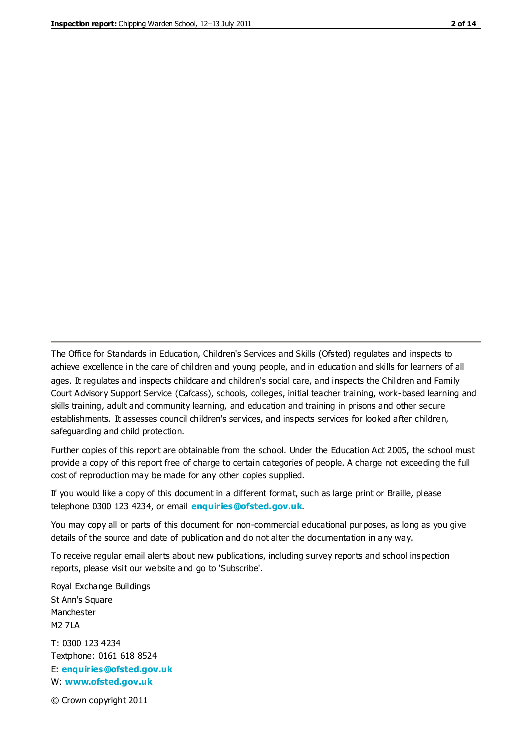The Office for Standards in Education, Children's Services and Skills (Ofsted) regulates and inspects to achieve excellence in the care of children and young people, and in education and skills for learners of all ages. It regulates and inspects childcare and children's social care, and inspects the Children and Family Court Advisory Support Service (Cafcass), schools, colleges, initial teacher training, work-based learning and skills training, adult and community learning, and education and training in prisons and other secure establishments. It assesses council children's services, and inspects services for looked after children, safeguarding and child protection.

Further copies of this report are obtainable from the school. Under the Education Act 2005, the school must provide a copy of this report free of charge to certain categories of people. A charge not exceeding the full cost of reproduction may be made for any other copies supplied.

If you would like a copy of this document in a different format, such as large print or Braille, please telephone 0300 123 4234, or email **[enquiries@ofsted.gov.uk](mailto:enquiries@ofsted.gov.uk)**.

You may copy all or parts of this document for non-commercial educational purposes, as long as you give details of the source and date of publication and do not alter the documentation in any way.

To receive regular email alerts about new publications, including survey reports and school inspection reports, please visit our website and go to 'Subscribe'.

Royal Exchange Buildings St Ann's Square Manchester M2 7LA T: 0300 123 4234 Textphone: 0161 618 8524 E: **[enquiries@ofsted.gov.uk](mailto:enquiries@ofsted.gov.uk)**

W: **[www.ofsted.gov.uk](http://www.ofsted.gov.uk/)**

© Crown copyright 2011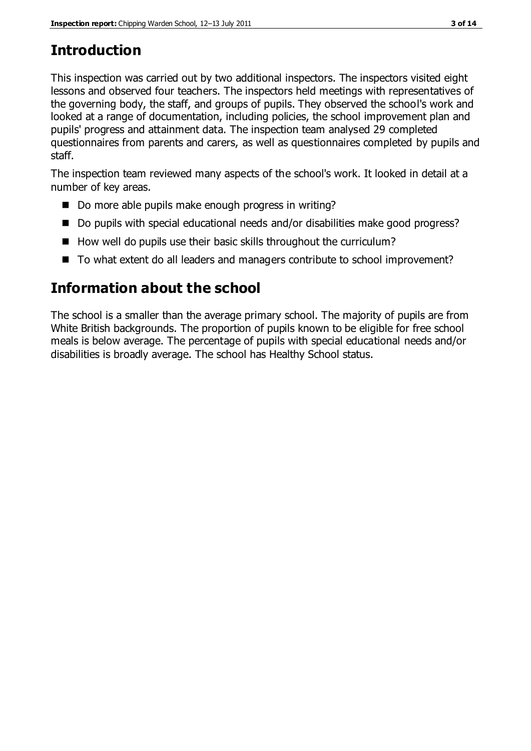# **Introduction**

This inspection was carried out by two additional inspectors. The inspectors visited eight lessons and observed four teachers. The inspectors held meetings with representatives of the governing body, the staff, and groups of pupils. They observed the school's work and looked at a range of documentation, including policies, the school improvement plan and pupils' progress and attainment data. The inspection team analysed 29 completed questionnaires from parents and carers, as well as questionnaires completed by pupils and staff.

The inspection team reviewed many aspects of the school's work. It looked in detail at a number of key areas.

- Do more able pupils make enough progress in writing?
- Do pupils with special educational needs and/or disabilities make good progress?
- $\blacksquare$  How well do pupils use their basic skills throughout the curriculum?
- To what extent do all leaders and managers contribute to school improvement?

# **Information about the school**

The school is a smaller than the average primary school. The majority of pupils are from White British backgrounds. The proportion of pupils known to be eligible for free school meals is below average. The percentage of pupils with special educational needs and/or disabilities is broadly average. The school has Healthy School status.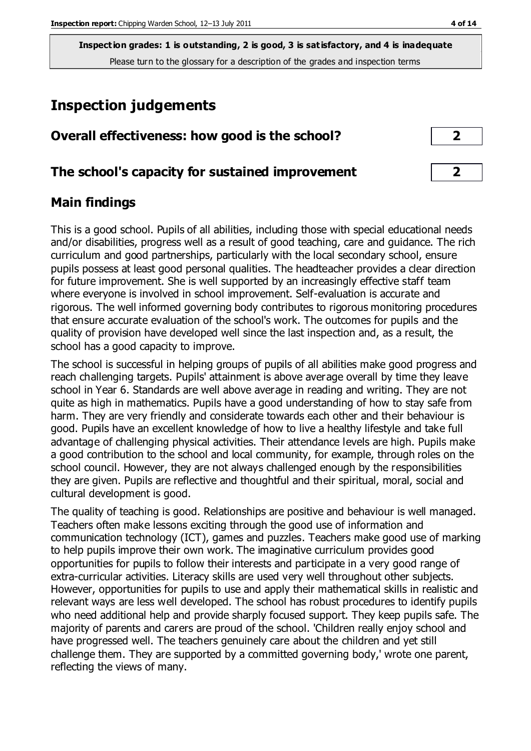**Inspection grades: 1 is outstanding, 2 is good, 3 is satisfactory, and 4 is inadequate** Please turn to the glossary for a description of the grades and inspection terms

# **Inspection judgements**

| Overall effectiveness: how good is the school? |  |
|------------------------------------------------|--|
|------------------------------------------------|--|

#### **The school's capacity for sustained improvement 2**

#### **Main findings**

This is a good school. Pupils of all abilities, including those with special educational needs and/or disabilities, progress well as a result of good teaching, care and guidance. The rich curriculum and good partnerships, particularly with the local secondary school, ensure pupils possess at least good personal qualities. The headteacher provides a clear direction for future improvement. She is well supported by an increasingly effective staff team where everyone is involved in school improvement. Self-evaluation is accurate and rigorous. The well informed governing body contributes to rigorous monitoring procedures that ensure accurate evaluation of the school's work. The outcomes for pupils and the quality of provision have developed well since the last inspection and, as a result, the school has a good capacity to improve.

The school is successful in helping groups of pupils of all abilities make good progress and reach challenging targets. Pupils' attainment is above average overall by time they leave school in Year 6. Standards are well above average in reading and writing. They are not quite as high in mathematics. Pupils have a good understanding of how to stay safe from harm. They are very friendly and considerate towards each other and their behaviour is good. Pupils have an excellent knowledge of how to live a healthy lifestyle and take full advantage of challenging physical activities. Their attendance levels are high. Pupils make a good contribution to the school and local community, for example, through roles on the school council. However, they are not always challenged enough by the responsibilities they are given. Pupils are reflective and thoughtful and their spiritual, moral, social and cultural development is good.

The quality of teaching is good. Relationships are positive and behaviour is well managed. Teachers often make lessons exciting through the good use of information and communication technology (ICT), games and puzzles. Teachers make good use of marking to help pupils improve their own work. The imaginative curriculum provides good opportunities for pupils to follow their interests and participate in a very good range of extra-curricular activities. Literacy skills are used very well throughout other subjects. However, opportunities for pupils to use and apply their mathematical skills in realistic and relevant ways are less well developed. The school has robust procedures to identify pupils who need additional help and provide sharply focused support. They keep pupils safe. The majority of parents and carers are proud of the school. 'Children really enjoy school and have progressed well. The teachers genuinely care about the children and yet still challenge them. They are supported by a committed governing body,' wrote one parent, reflecting the views of many.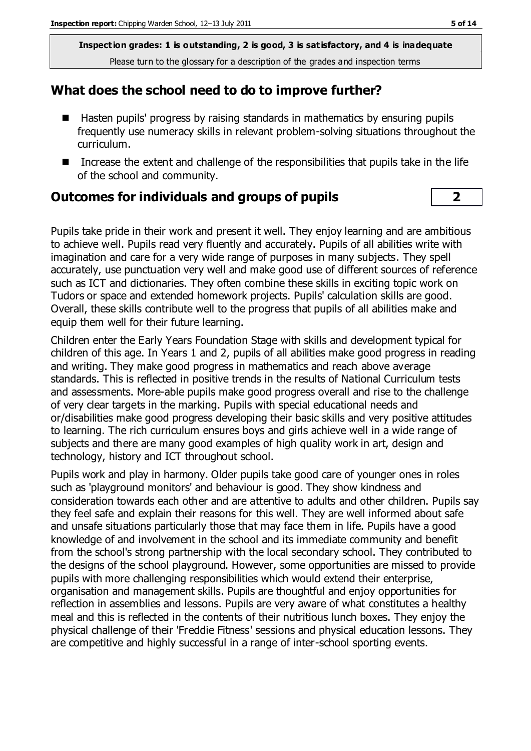**Inspection grades: 1 is outstanding, 2 is good, 3 is satisfactory, and 4 is inadequate** Please turn to the glossary for a description of the grades and inspection terms

#### **What does the school need to do to improve further?**

- Hasten pupils' progress by raising standards in mathematics by ensuring pupils frequently use numeracy skills in relevant problem-solving situations throughout the curriculum.
- Increase the extent and challenge of the responsibilities that pupils take in the life of the school and community.

#### **Outcomes for individuals and groups of pupils 2**

Pupils take pride in their work and present it well. They enjoy learning and are ambitious to achieve well. Pupils read very fluently and accurately. Pupils of all abilities write with imagination and care for a very wide range of purposes in many subjects. They spell accurately, use punctuation very well and make good use of different sources of reference such as ICT and dictionaries. They often combine these skills in exciting topic work on Tudors or space and extended homework projects. Pupils' calculation skills are good. Overall, these skills contribute well to the progress that pupils of all abilities make and equip them well for their future learning.

Children enter the Early Years Foundation Stage with skills and development typical for children of this age. In Years 1 and 2, pupils of all abilities make good progress in reading and writing. They make good progress in mathematics and reach above average standards. This is reflected in positive trends in the results of National Curriculum tests and assessments. More-able pupils make good progress overall and rise to the challenge of very clear targets in the marking. Pupils with special educational needs and or/disabilities make good progress developing their basic skills and very positive attitudes to learning. The rich curriculum ensures boys and girls achieve well in a wide range of subjects and there are many good examples of high quality work in art, design and technology, history and ICT throughout school.

Pupils work and play in harmony. Older pupils take good care of younger ones in roles such as 'playground monitors' and behaviour is good. They show kindness and consideration towards each other and are attentive to adults and other children. Pupils say they feel safe and explain their reasons for this well. They are well informed about safe and unsafe situations particularly those that may face them in life. Pupils have a good knowledge of and involvement in the school and its immediate community and benefit from the school's strong partnership with the local secondary school. They contributed to the designs of the school playground. However, some opportunities are missed to provide pupils with more challenging responsibilities which would extend their enterprise, organisation and management skills. Pupils are thoughtful and enjoy opportunities for reflection in assemblies and lessons. Pupils are very aware of what constitutes a healthy meal and this is reflected in the contents of their nutritious lunch boxes. They enjoy the physical challenge of their 'Freddie Fitness' sessions and physical education lessons. They are competitive and highly successful in a range of inter-school sporting events.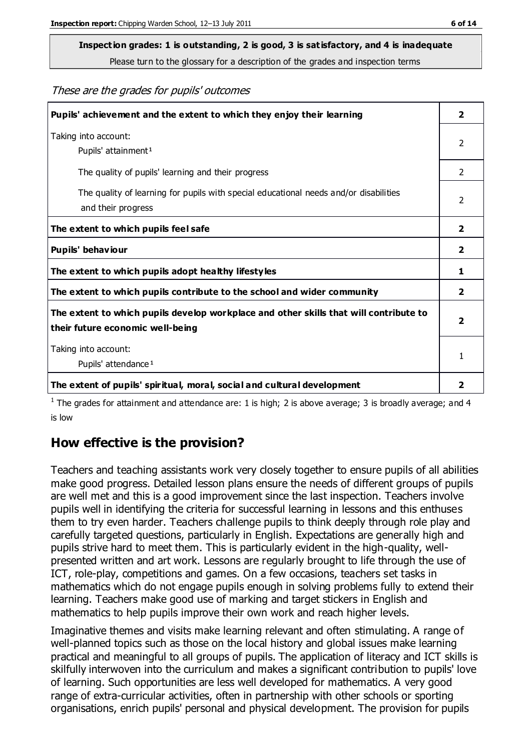# **Inspection grades: 1 is outstanding, 2 is good, 3 is satisfactory, and 4 is inadequate**

Please turn to the glossary for a description of the grades and inspection terms

These are the grades for pupils' outcomes

| Pupils' achievement and the extent to which they enjoy their learning                                                     | $\overline{2}$ |
|---------------------------------------------------------------------------------------------------------------------------|----------------|
| Taking into account:<br>Pupils' attainment <sup>1</sup>                                                                   | 2              |
| The quality of pupils' learning and their progress                                                                        | $\mathcal{P}$  |
| The quality of learning for pupils with special educational needs and/or disabilities<br>and their progress               | 2              |
| The extent to which pupils feel safe                                                                                      | $\mathbf{2}$   |
| Pupils' behaviour                                                                                                         | 2              |
| The extent to which pupils adopt healthy lifestyles                                                                       | 1              |
| The extent to which pupils contribute to the school and wider community                                                   | $\mathbf{2}$   |
| The extent to which pupils develop workplace and other skills that will contribute to<br>their future economic well-being |                |
| Taking into account:<br>Pupils' attendance <sup>1</sup>                                                                   |                |
| The extent of pupils' spiritual, moral, social and cultural development                                                   | 2              |

<sup>1</sup> The grades for attainment and attendance are: 1 is high; 2 is above average; 3 is broadly average; and 4 is low

#### **How effective is the provision?**

Teachers and teaching assistants work very closely together to ensure pupils of all abilities make good progress. Detailed lesson plans ensure the needs of different groups of pupils are well met and this is a good improvement since the last inspection. Teachers involve pupils well in identifying the criteria for successful learning in lessons and this enthuses them to try even harder. Teachers challenge pupils to think deeply through role play and carefully targeted questions, particularly in English. Expectations are generally high and pupils strive hard to meet them. This is particularly evident in the high-quality, wellpresented written and art work. Lessons are regularly brought to life through the use of ICT, role-play, competitions and games. On a few occasions, teachers set tasks in mathematics which do not engage pupils enough in solving problems fully to extend their learning. Teachers make good use of marking and target stickers in English and mathematics to help pupils improve their own work and reach higher levels.

Imaginative themes and visits make learning relevant and often stimulating. A range of well-planned topics such as those on the local history and global issues make learning practical and meaningful to all groups of pupils. The application of literacy and ICT skills is skilfully interwoven into the curriculum and makes a significant contribution to pupils' love of learning. Such opportunities are less well developed for mathematics. A very good range of extra-curricular activities, often in partnership with other schools or sporting organisations, enrich pupils' personal and physical development. The provision for pupils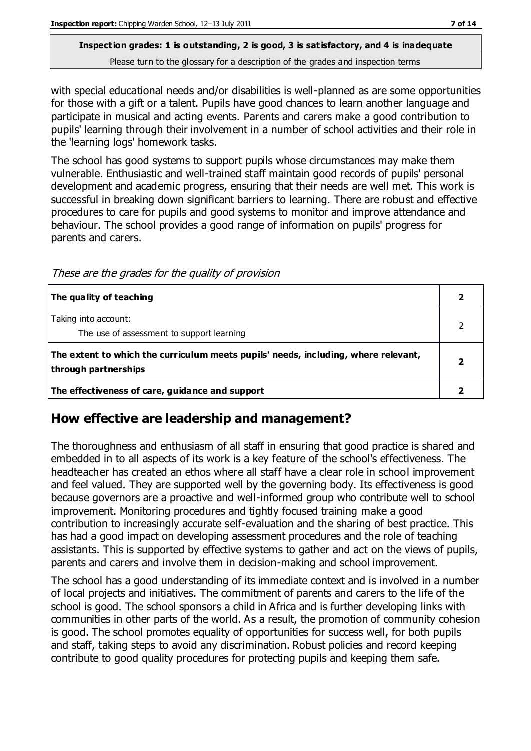#### **Inspection grades: 1 is outstanding, 2 is good, 3 is satisfactory, and 4 is inadequate** Please turn to the glossary for a description of the grades and inspection terms

with special educational needs and/or disabilities is well-planned as are some opportunities for those with a gift or a talent. Pupils have good chances to learn another language and participate in musical and acting events. Parents and carers make a good contribution to pupils' learning through their involvement in a number of school activities and their role in the 'learning logs' homework tasks.

The school has good systems to support pupils whose circumstances may make them vulnerable. Enthusiastic and well-trained staff maintain good records of pupils' personal development and academic progress, ensuring that their needs are well met. This work is successful in breaking down significant barriers to learning. There are robust and effective procedures to care for pupils and good systems to monitor and improve attendance and behaviour. The school provides a good range of information on pupils' progress for parents and carers.

These are the grades for the quality of provision

| The quality of teaching                                                                                    |  |
|------------------------------------------------------------------------------------------------------------|--|
| Taking into account:<br>The use of assessment to support learning                                          |  |
| The extent to which the curriculum meets pupils' needs, including, where relevant,<br>through partnerships |  |
| The effectiveness of care, guidance and support                                                            |  |

#### **How effective are leadership and management?**

The thoroughness and enthusiasm of all staff in ensuring that good practice is shared and embedded in to all aspects of its work is a key feature of the school's effectiveness. The headteacher has created an ethos where all staff have a clear role in school improvement and feel valued. They are supported well by the governing body. Its effectiveness is good because governors are a proactive and well-informed group who contribute well to school improvement. Monitoring procedures and tightly focused training make a good contribution to increasingly accurate self-evaluation and the sharing of best practice. This has had a good impact on developing assessment procedures and the role of teaching assistants. This is supported by effective systems to gather and act on the views of pupils, parents and carers and involve them in decision-making and school improvement.

The school has a good understanding of its immediate context and is involved in a number of local projects and initiatives. The commitment of parents and carers to the life of the school is good. The school sponsors a child in Africa and is further developing links with communities in other parts of the world. As a result, the promotion of community cohesion is good. The school promotes equality of opportunities for success well, for both pupils and staff, taking steps to avoid any discrimination. Robust policies and record keeping contribute to good quality procedures for protecting pupils and keeping them safe.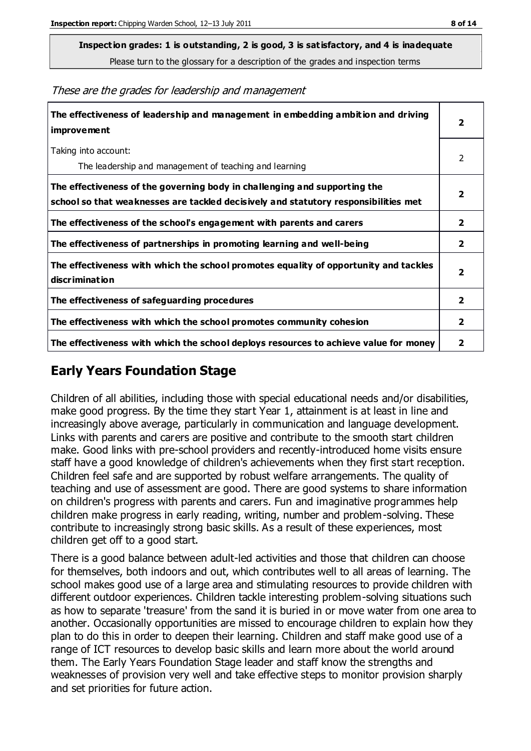**Inspection grades: 1 is outstanding, 2 is good, 3 is satisfactory, and 4 is inadequate**

Please turn to the glossary for a description of the grades and inspection terms

These are the grades for leadership and management

| The effectiveness of leadership and management in embedding ambition and driving<br>improvement                                                                  |                         |
|------------------------------------------------------------------------------------------------------------------------------------------------------------------|-------------------------|
| Taking into account:<br>The leadership and management of teaching and learning                                                                                   | 2                       |
| The effectiveness of the governing body in challenging and supporting the<br>school so that weaknesses are tackled decisively and statutory responsibilities met | $\overline{\mathbf{2}}$ |
| The effectiveness of the school's engagement with parents and carers                                                                                             | $\mathbf{2}$            |
| The effectiveness of partnerships in promoting learning and well-being                                                                                           | $\mathbf{2}$            |
| The effectiveness with which the school promotes equality of opportunity and tackles<br>discrimination                                                           | $\overline{\mathbf{2}}$ |
| The effectiveness of safeguarding procedures                                                                                                                     | $\overline{\mathbf{2}}$ |
| The effectiveness with which the school promotes community cohesion                                                                                              | $\mathbf{2}$            |
| The effectiveness with which the school deploys resources to achieve value for money                                                                             | 2                       |

#### **Early Years Foundation Stage**

Children of all abilities, including those with special educational needs and/or disabilities, make good progress. By the time they start Year 1, attainment is at least in line and increasingly above average, particularly in communication and language development. Links with parents and carers are positive and contribute to the smooth start children make. Good links with pre-school providers and recently-introduced home visits ensure staff have a good knowledge of children's achievements when they first start reception. Children feel safe and are supported by robust welfare arrangements. The quality of teaching and use of assessment are good. There are good systems to share information on children's progress with parents and carers. Fun and imaginative programmes help children make progress in early reading, writing, number and problem-solving. These contribute to increasingly strong basic skills. As a result of these experiences, most children get off to a good start.

There is a good balance between adult-led activities and those that children can choose for themselves, both indoors and out, which contributes well to all areas of learning. The school makes good use of a large area and stimulating resources to provide children with different outdoor experiences. Children tackle interesting problem-solving situations such as how to separate 'treasure' from the sand it is buried in or move water from one area to another. Occasionally opportunities are missed to encourage children to explain how they plan to do this in order to deepen their learning. Children and staff make good use of a range of ICT resources to develop basic skills and learn more about the world around them. The Early Years Foundation Stage leader and staff know the strengths and weaknesses of provision very well and take effective steps to monitor provision sharply and set priorities for future action.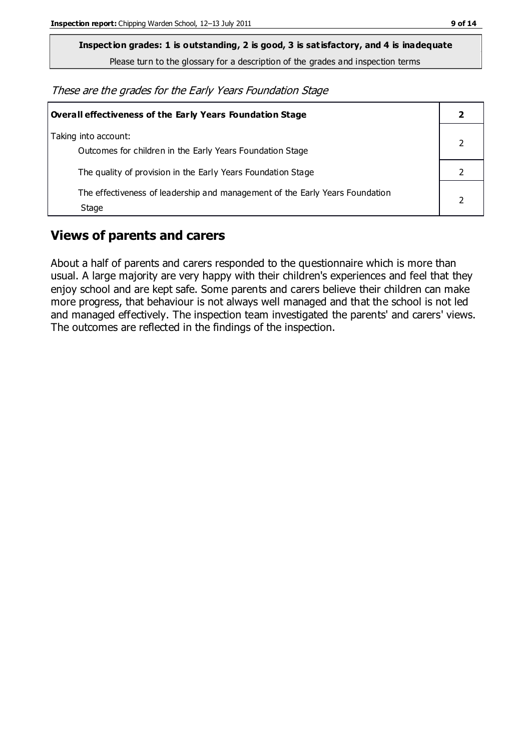**Inspection grades: 1 is outstanding, 2 is good, 3 is satisfactory, and 4 is inadequate**

Please turn to the glossary for a description of the grades and inspection terms

These are the grades for the Early Years Foundation Stage

| Overall effectiveness of the Early Years Foundation Stage                             |  |
|---------------------------------------------------------------------------------------|--|
| Taking into account:<br>Outcomes for children in the Early Years Foundation Stage     |  |
| The quality of provision in the Early Years Foundation Stage                          |  |
| The effectiveness of leadership and management of the Early Years Foundation<br>Stage |  |

#### **Views of parents and carers**

About a half of parents and carers responded to the questionnaire which is more than usual. A large majority are very happy with their children's experiences and feel that they enjoy school and are kept safe. Some parents and carers believe their children can make more progress, that behaviour is not always well managed and that the school is not led and managed effectively. The inspection team investigated the parents' and carers' views. The outcomes are reflected in the findings of the inspection.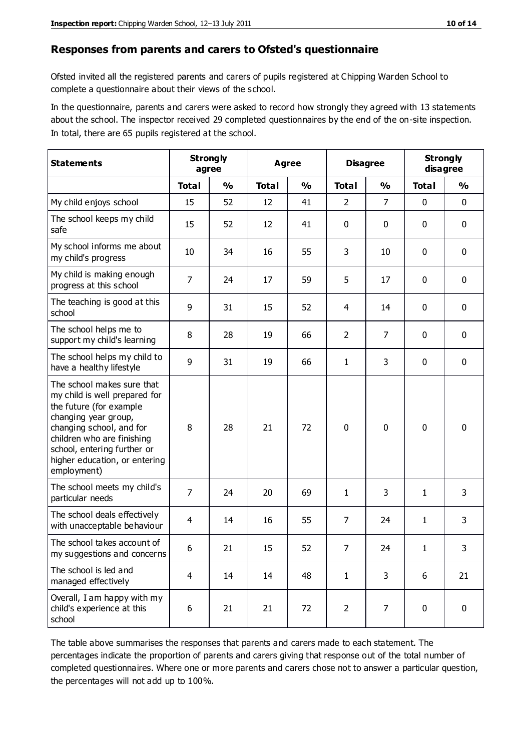#### **Responses from parents and carers to Ofsted's questionnaire**

Ofsted invited all the registered parents and carers of pupils registered at Chipping Warden School to complete a questionnaire about their views of the school.

In the questionnaire, parents and carers were asked to record how strongly they agreed with 13 statements about the school. The inspector received 29 completed questionnaires by the end of the on-site inspection. In total, there are 65 pupils registered at the school.

| <b>Statements</b>                                                                                                                                                                                                                                       | <b>Strongly</b><br>Agree<br>agree |               |              | <b>Disagree</b> |                | <b>Strongly</b><br>disagree |              |               |
|---------------------------------------------------------------------------------------------------------------------------------------------------------------------------------------------------------------------------------------------------------|-----------------------------------|---------------|--------------|-----------------|----------------|-----------------------------|--------------|---------------|
|                                                                                                                                                                                                                                                         | <b>Total</b>                      | $\frac{0}{0}$ | <b>Total</b> | $\frac{0}{0}$   | <b>Total</b>   | $\frac{0}{0}$               | <b>Total</b> | $\frac{0}{0}$ |
| My child enjoys school                                                                                                                                                                                                                                  | 15                                | 52            | 12           | 41              | $\overline{2}$ | 7                           | $\mathbf 0$  | $\mathbf 0$   |
| The school keeps my child<br>safe                                                                                                                                                                                                                       | 15                                | 52            | 12           | 41              | 0              | 0                           | $\mathbf 0$  | $\mathbf 0$   |
| My school informs me about<br>my child's progress                                                                                                                                                                                                       | 10                                | 34            | 16           | 55              | 3              | 10                          | $\mathbf 0$  | $\mathbf 0$   |
| My child is making enough<br>progress at this school                                                                                                                                                                                                    | $\overline{7}$                    | 24            | 17           | 59              | 5              | 17                          | 0            | $\mathbf 0$   |
| The teaching is good at this<br>school                                                                                                                                                                                                                  | 9                                 | 31            | 15           | 52              | 4              | 14                          | $\mathbf 0$  | $\mathbf 0$   |
| The school helps me to<br>support my child's learning                                                                                                                                                                                                   | 8                                 | 28            | 19           | 66              | $\overline{2}$ | $\overline{7}$              | $\mathbf 0$  | $\mathbf 0$   |
| The school helps my child to<br>have a healthy lifestyle                                                                                                                                                                                                | 9                                 | 31            | 19           | 66              | 1              | 3                           | $\mathbf 0$  | $\mathbf 0$   |
| The school makes sure that<br>my child is well prepared for<br>the future (for example<br>changing year group,<br>changing school, and for<br>children who are finishing<br>school, entering further or<br>higher education, or entering<br>employment) | 8                                 | 28            | 21           | 72              | $\mathbf 0$    | $\mathbf{0}$                | $\mathbf 0$  | $\mathbf 0$   |
| The school meets my child's<br>particular needs                                                                                                                                                                                                         | $\overline{7}$                    | 24            | 20           | 69              | 1              | 3                           | 1            | 3             |
| The school deals effectively<br>with unacceptable behaviour                                                                                                                                                                                             | $\overline{4}$                    | 14            | 16           | 55              | 7              | 24                          | 1            | 3             |
| The school takes account of<br>my suggestions and concerns                                                                                                                                                                                              | 6                                 | 21            | 15           | 52              | 7              | 24                          | 1            | 3             |
| The school is led and<br>managed effectively                                                                                                                                                                                                            | $\overline{4}$                    | 14            | 14           | 48              | $\mathbf{1}$   | 3                           | 6            | 21            |
| Overall, I am happy with my<br>child's experience at this<br>school                                                                                                                                                                                     | 6                                 | 21            | 21           | 72              | $\overline{2}$ | $\overline{7}$              | $\mathbf 0$  | $\mathbf 0$   |

The table above summarises the responses that parents and carers made to each statement. The percentages indicate the proportion of parents and carers giving that response out of the total number of completed questionnaires. Where one or more parents and carers chose not to answer a particular question, the percentages will not add up to 100%.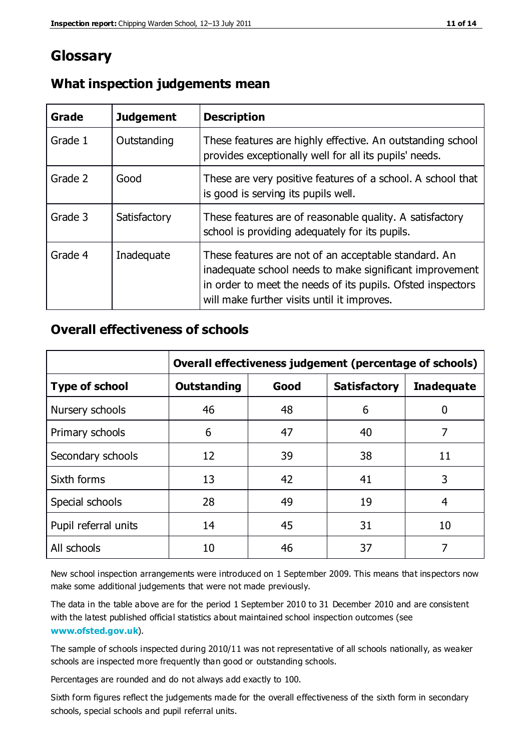### **Glossary**

| Grade   | <b>Judgement</b> | <b>Description</b>                                                                                                                                                                                                            |
|---------|------------------|-------------------------------------------------------------------------------------------------------------------------------------------------------------------------------------------------------------------------------|
| Grade 1 | Outstanding      | These features are highly effective. An outstanding school<br>provides exceptionally well for all its pupils' needs.                                                                                                          |
| Grade 2 | Good             | These are very positive features of a school. A school that<br>is good is serving its pupils well.                                                                                                                            |
| Grade 3 | Satisfactory     | These features are of reasonable quality. A satisfactory<br>school is providing adequately for its pupils.                                                                                                                    |
| Grade 4 | Inadequate       | These features are not of an acceptable standard. An<br>inadequate school needs to make significant improvement<br>in order to meet the needs of its pupils. Ofsted inspectors<br>will make further visits until it improves. |

#### **What inspection judgements mean**

#### **Overall effectiveness of schools**

|                       | Overall effectiveness judgement (percentage of schools) |      |                     |                   |
|-----------------------|---------------------------------------------------------|------|---------------------|-------------------|
| <b>Type of school</b> | <b>Outstanding</b>                                      | Good | <b>Satisfactory</b> | <b>Inadequate</b> |
| Nursery schools       | 46                                                      | 48   | 6                   |                   |
| Primary schools       | 6                                                       | 47   | 40                  | 7                 |
| Secondary schools     | 12                                                      | 39   | 38                  | 11                |
| Sixth forms           | 13                                                      | 42   | 41                  | 3                 |
| Special schools       | 28                                                      | 49   | 19                  | 4                 |
| Pupil referral units  | 14                                                      | 45   | 31                  | 10                |
| All schools           | 10                                                      | 46   | 37                  |                   |

New school inspection arrangements were introduced on 1 September 2009. This means that inspectors now make some additional judgements that were not made previously.

The data in the table above are for the period 1 September 2010 to 31 December 2010 and are consistent with the latest published official statistics about maintained school inspection outcomes (see **[www.ofsted.gov.uk](http://www.ofsted.gov.uk/)**).

The sample of schools inspected during 2010/11 was not representative of all schools nationally, as weaker schools are inspected more frequently than good or outstanding schools.

Percentages are rounded and do not always add exactly to 100.

Sixth form figures reflect the judgements made for the overall effectiveness of the sixth form in secondary schools, special schools and pupil referral units.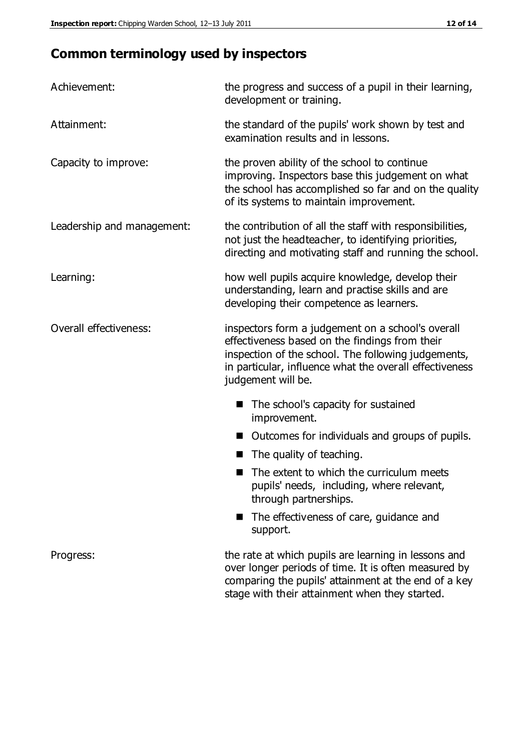## **Common terminology used by inspectors**

| Achievement:                  | the progress and success of a pupil in their learning,<br>development or training.                                                                                                                                                          |  |  |
|-------------------------------|---------------------------------------------------------------------------------------------------------------------------------------------------------------------------------------------------------------------------------------------|--|--|
| Attainment:                   | the standard of the pupils' work shown by test and<br>examination results and in lessons.                                                                                                                                                   |  |  |
| Capacity to improve:          | the proven ability of the school to continue<br>improving. Inspectors base this judgement on what<br>the school has accomplished so far and on the quality<br>of its systems to maintain improvement.                                       |  |  |
| Leadership and management:    | the contribution of all the staff with responsibilities,<br>not just the headteacher, to identifying priorities,<br>directing and motivating staff and running the school.                                                                  |  |  |
| Learning:                     | how well pupils acquire knowledge, develop their<br>understanding, learn and practise skills and are<br>developing their competence as learners.                                                                                            |  |  |
| <b>Overall effectiveness:</b> | inspectors form a judgement on a school's overall<br>effectiveness based on the findings from their<br>inspection of the school. The following judgements,<br>in particular, influence what the overall effectiveness<br>judgement will be. |  |  |
|                               | The school's capacity for sustained<br>improvement.                                                                                                                                                                                         |  |  |
|                               | Outcomes for individuals and groups of pupils.                                                                                                                                                                                              |  |  |
|                               | The quality of teaching.                                                                                                                                                                                                                    |  |  |
|                               | The extent to which the curriculum meets<br>pupils' needs, including, where relevant,<br>through partnerships.                                                                                                                              |  |  |
|                               | The effectiveness of care, guidance and<br>support.                                                                                                                                                                                         |  |  |
| Progress:                     | the rate at which pupils are learning in lessons and<br>over longer periods of time. It is often measured by<br>comparing the pupils' attainment at the end of a key                                                                        |  |  |

stage with their attainment when they started.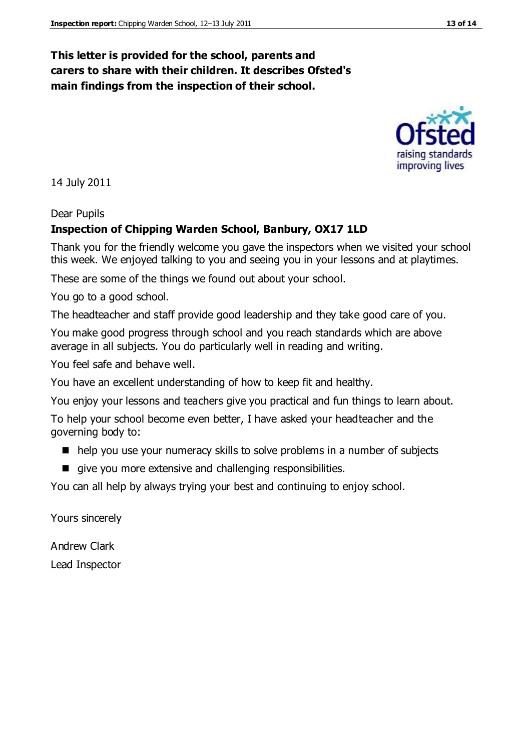#### **This letter is provided for the school, parents and carers to share with their children. It describes Ofsted's main findings from the inspection of their school.**

14 July 2011

Dear Pupils

#### **Inspection of Chipping Warden School, Banbury, OX17 1LD**

Thank you for the friendly welcome you gave the inspectors when we visited your school this week. We enjoyed talking to you and seeing you in your lessons and at playtimes.

These are some of the things we found out about your school.

You go to a good school.

The headteacher and staff provide good leadership and they take good care of you.

You make good progress through school and you reach standards which are above average in all subjects. You do particularly well in reading and writing.

You feel safe and behave well.

You have an excellent understanding of how to keep fit and healthy.

You enjoy your lessons and teachers give you practical and fun things to learn about.

To help your school become even better, I have asked your headteacher and the governing body to:

- help you use your numeracy skills to solve problems in a number of subjects
- give you more extensive and challenging responsibilities.

You can all help by always trying your best and continuing to enjoy school.

Yours sincerely

Andrew Clark Lead Inspector